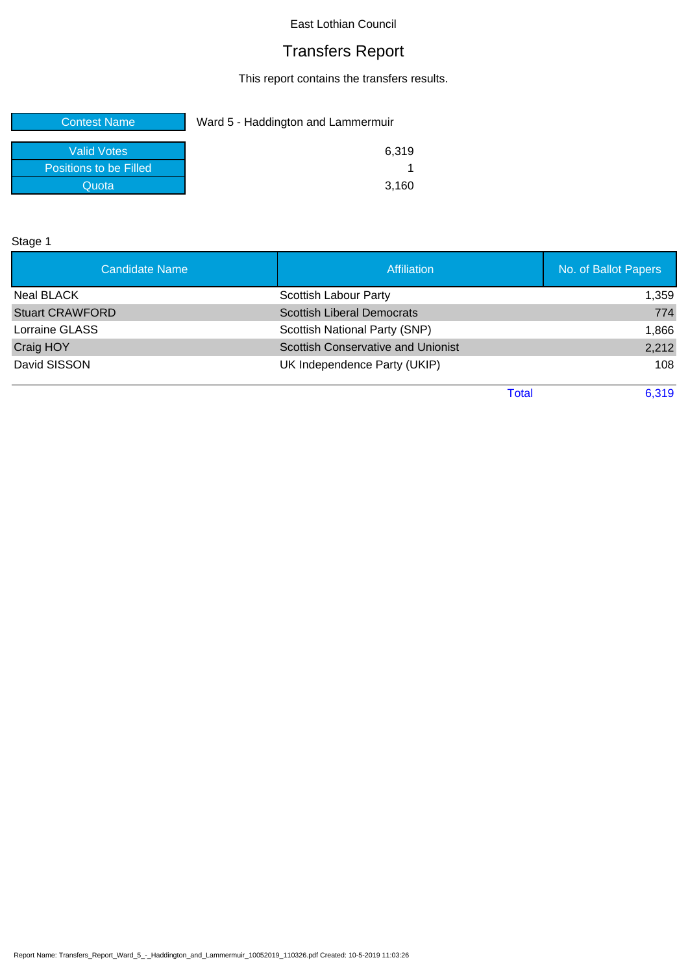# Transfers Report

This report contains the transfers results.

| <b>Contest Name</b>    | Ward 5 - Haddington and Lammermuir |  |
|------------------------|------------------------------------|--|
| <b>Valid Votes</b>     | 6.319                              |  |
| Positions to be Filled |                                    |  |
| Quota                  | 3,160                              |  |

Stage 1

| Candidate Name <sup>1</sup> | <b>Affiliation</b>                        | No. of Ballot Papers |
|-----------------------------|-------------------------------------------|----------------------|
| Neal BLACK                  | <b>Scottish Labour Party</b>              | 1,359                |
| <b>Stuart CRAWFORD</b>      | <b>Scottish Liberal Democrats</b>         | 774                  |
| Lorraine GLASS              | Scottish National Party (SNP)             | 1,866                |
| Craig HOY                   | <b>Scottish Conservative and Unionist</b> | 2,212                |
| David SISSON                | UK Independence Party (UKIP)              | 108                  |

Total 6,319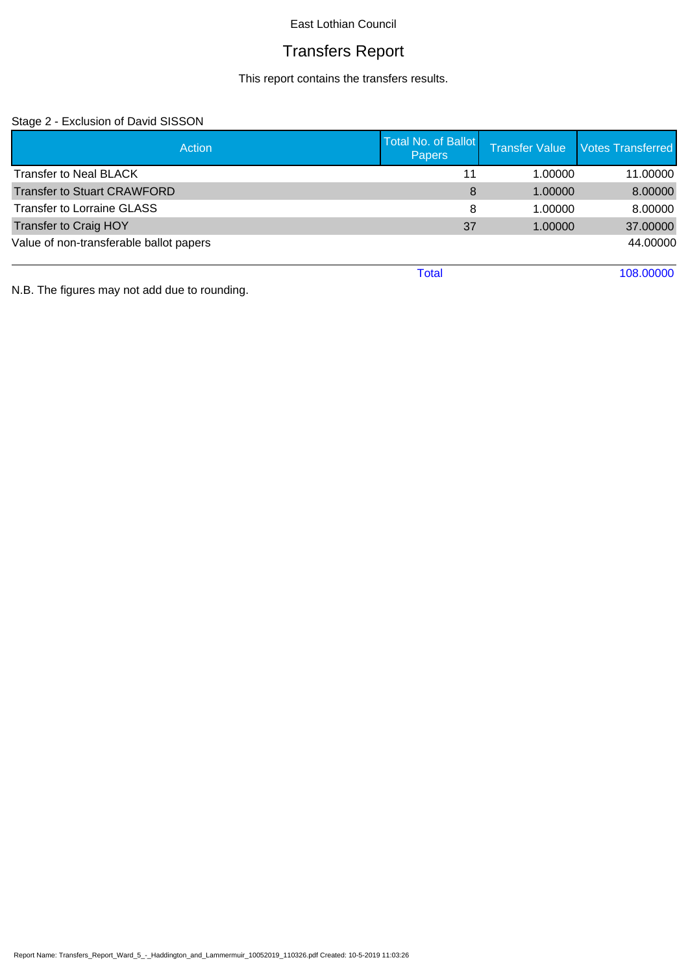# Transfers Report

This report contains the transfers results.

## Stage 2 - Exclusion of David SISSON

| <b>Action</b>                           | <b>Total No. of Ballot</b><br><b>Papers</b> | <b>Transfer Value</b> | <b>Votes Transferred</b> |
|-----------------------------------------|---------------------------------------------|-----------------------|--------------------------|
| <b>Transfer to Neal BLACK</b>           | 11                                          | 1.00000               | 11.00000                 |
| <b>Transfer to Stuart CRAWFORD</b>      | 8                                           | 1.00000               | 8.00000                  |
| <b>Transfer to Lorraine GLASS</b>       | 8                                           | 1.00000               | 8.00000                  |
| <b>Transfer to Craig HOY</b>            | 37                                          | 1.00000               | 37.00000                 |
| Value of non-transferable ballot papers |                                             |                       | 44.00000                 |
|                                         | Total                                       |                       | 108.00000                |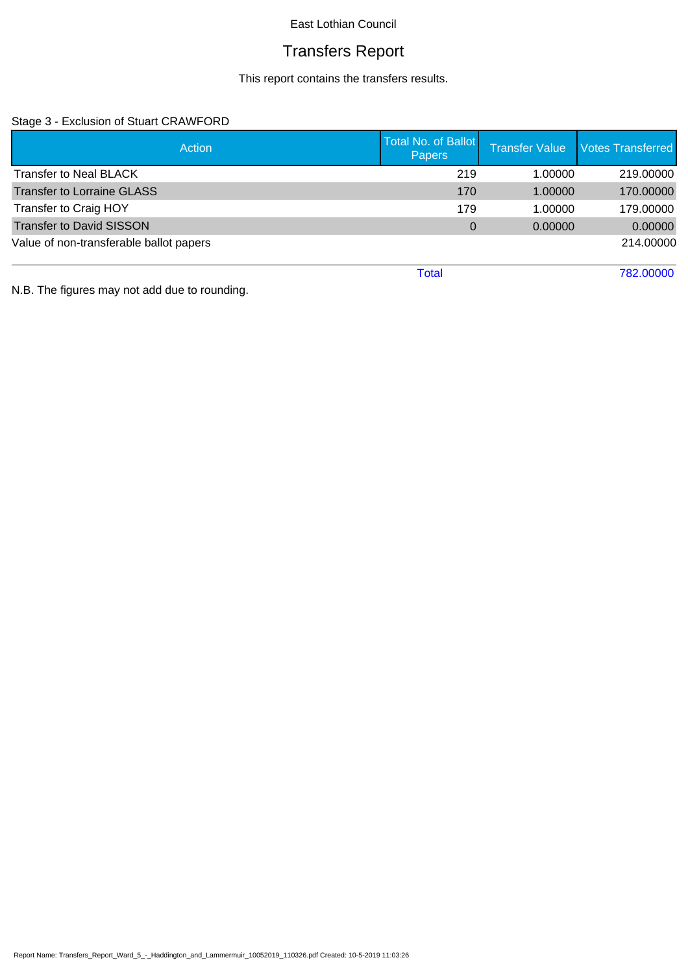# Transfers Report

This report contains the transfers results.

## Stage 3 - Exclusion of Stuart CRAWFORD

| <b>Action</b>                           | <b>Total No. of Ballot</b><br><b>Papers</b> | <b>Transfer Value</b> | <b>Votes Transferred</b> |
|-----------------------------------------|---------------------------------------------|-----------------------|--------------------------|
| <b>Transfer to Neal BLACK</b>           | 219                                         | 1.00000               | 219.00000                |
| <b>Transfer to Lorraine GLASS</b>       | 170                                         | 1.00000               | 170.00000                |
| Transfer to Craig HOY                   | 179                                         | 1.00000               | 179.00000                |
| <b>Transfer to David SISSON</b>         | $\Omega$                                    | 0.00000               | 0.00000                  |
| Value of non-transferable ballot papers |                                             |                       | 214.00000                |
|                                         | Total                                       |                       | 782.00000                |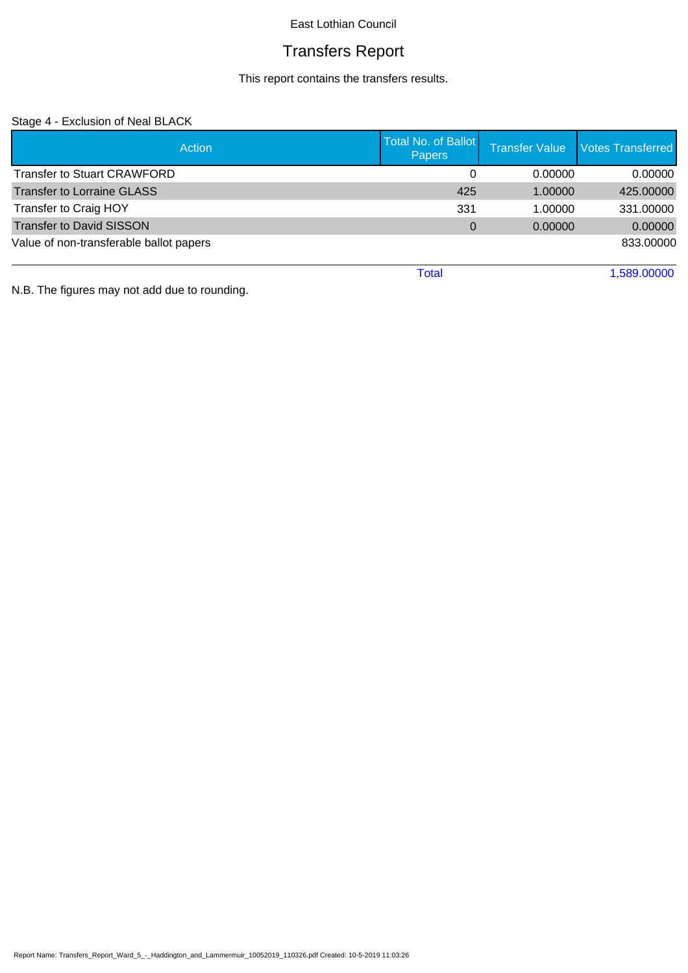# Transfers Report

This report contains the transfers results.

## Stage 4 - Exclusion of Neal BLACK

| <b>Action</b>                           | <b>Total No. of Ballot</b><br><b>Papers</b> | <b>Transfer Value</b> | <b>Votes Transferred</b> |
|-----------------------------------------|---------------------------------------------|-----------------------|--------------------------|
| <b>Transfer to Stuart CRAWFORD</b>      | 0                                           | 0.00000               | 0.00000                  |
| Transfer to Lorraine GLASS              | 425                                         | 1.00000               | 425.00000                |
| Transfer to Craig HOY                   | 331                                         | 1.00000               | 331.00000                |
| <b>Transfer to David SISSON</b>         | $\Omega$                                    | 0.00000               | 0.00000                  |
| Value of non-transferable ballot papers |                                             |                       | 833.00000                |
|                                         | Total                                       |                       | 1.589.00000              |